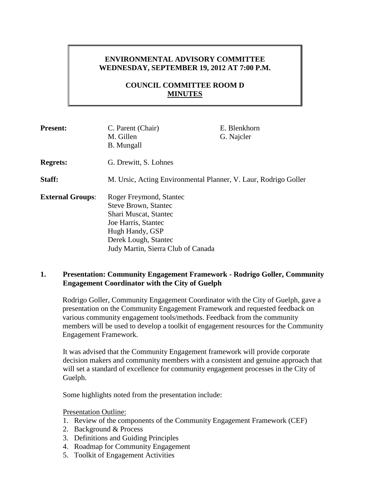# **ENVIRONMENTAL ADVISORY COMMITTEE WEDNESDAY, SEPTEMBER 19, 2012 AT 7:00 P.M.**

# **COUNCIL COMMITTEE ROOM D MINUTES**

| <b>Present:</b>         | C. Parent (Chair)                                               | E. Blenkhorn |
|-------------------------|-----------------------------------------------------------------|--------------|
|                         | M. Gillen                                                       | G. Najcler   |
|                         | <b>B.</b> Mungall                                               |              |
| <b>Regrets:</b>         | G. Drewitt, S. Lohnes                                           |              |
| Staff:                  | M. Ursic, Acting Environmental Planner, V. Laur, Rodrigo Goller |              |
| <b>External Groups:</b> | Roger Freymond, Stantec                                         |              |
|                         | <b>Steve Brown, Stantec</b>                                     |              |
|                         | Shari Muscat, Stantec                                           |              |
|                         | Joe Harris, Stantec                                             |              |
|                         | Hugh Handy, GSP                                                 |              |
|                         | Derek Lough, Stantec                                            |              |
|                         | Judy Martin, Sierra Club of Canada                              |              |

### **1. Presentation: Community Engagement Framework - Rodrigo Goller, Community Engagement Coordinator with the City of Guelph**

Rodrigo Goller, Community Engagement Coordinator with the City of Guelph, gave a presentation on the Community Engagement Framework and requested feedback on various community engagement tools/methods. Feedback from the community members will be used to develop a toolkit of engagement resources for the Community Engagement Framework.

It was advised that the Community Engagement framework will provide corporate decision makers and community members with a consistent and genuine approach that will set a standard of excellence for community engagement processes in the City of Guelph.

Some highlights noted from the presentation include:

Presentation Outline:

- 1. Review of the components of the Community Engagement Framework (CEF)
- 2. Background & Process
- 3. Definitions and Guiding Principles
- 4. Roadmap for Community Engagement
- 5. Toolkit of Engagement Activities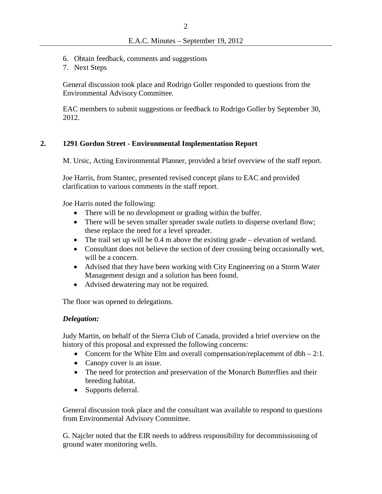- 6. Obtain feedback, comments and suggestions
- 7. Next Steps

General discussion took place and Rodrigo Goller responded to questions from the Environmental Advisory Committee.

EAC members to submit suggestions or feedback to Rodrigo Goller by September 30, 2012.

### **2. 1291 Gordon Street - Environmental Implementation Report**

M. Ursic, Acting Environmental Planner, provided a brief overview of the staff report.

Joe Harris, from Stantec, presented revised concept plans to EAC and provided clarification to various comments in the staff report.

Joe Harris noted the following:

- There will be no development or grading within the buffer.
- There will be seven smaller spreader swale outlets to disperse overland flow; these replace the need for a level spreader.
- The trail set up will be 0.4 m above the existing grade elevation of wetland.
- Consultant does not believe the section of deer crossing being occasionally wet, will be a concern.
- Advised that they have been working with City Engineering on a Storm Water Management design and a solution has been found.
- Advised dewatering may not be required.

The floor was opened to delegations.

### *Delegation:*

Judy Martin, on behalf of the Sierra Club of Canada, provided a brief overview on the history of this proposal and expressed the following concerns:

- Concern for the White Elm and overall compensation/replacement of  $dbh 2:1$ .
- Canopy cover is an issue.
- The need for protection and preservation of the Monarch Butterflies and their breeding habitat.
- Supports deferral.

General discussion took place and the consultant was available to respond to questions from Environmental Advisory Committee.

G. Najcler noted that the EIR needs to address responsibility for decommissioning of ground water monitoring wells.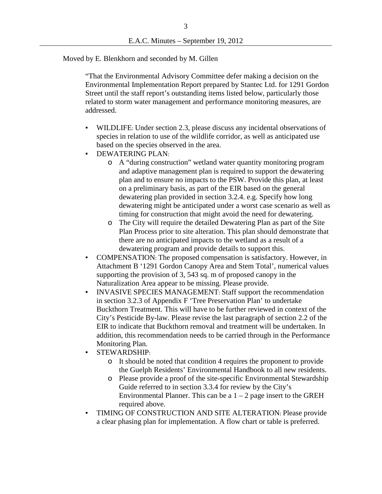Moved by E. Blenkhorn and seconded by M. Gillen

"That the Environmental Advisory Committee defer making a decision on the Environmental Implementation Report prepared by Stantec Ltd. for 1291 Gordon Street until the staff report's outstanding items listed below, particularly those related to storm water management and performance monitoring measures, are addressed.

- WILDLIFE: Under section 2.3, please discuss any incidental observations of species in relation to use of the wildlife corridor, as well as anticipated use based on the species observed in the area.
- DEWATERING PLAN:
	- o A "during construction" wetland water quantity monitoring program and adaptive management plan is required to support the dewatering plan and to ensure no impacts to the PSW. Provide this plan, at least on a preliminary basis, as part of the EIR based on the general dewatering plan provided in section 3.2.4. e.g. Specify how long dewatering might be anticipated under a worst case scenario as well as timing for construction that might avoid the need for dewatering.
	- o The City will require the detailed Dewatering Plan as part of the Site Plan Process prior to site alteration. This plan should demonstrate that there are no anticipated impacts to the wetland as a result of a dewatering program and provide details to support this.
- COMPENSATION: The proposed compensation is satisfactory. However, in Attachment B '1291 Gordon Canopy Area and Stem Total', numerical values supporting the provision of 3, 543 sq. m of proposed canopy in the Naturalization Area appear to be missing. Please provide.
- INVASIVE SPECIES MANAGEMENT: Staff support the recommendation in section 3.2.3 of Appendix F 'Tree Preservation Plan' to undertake Buckthorn Treatment. This will have to be further reviewed in context of the City's Pesticide By-law. Please revise the last paragraph of section 2.2 of the EIR to indicate that Buckthorn removal and treatment will be undertaken. In addition, this recommendation needs to be carried through in the Performance Monitoring Plan.
- STEWARDSHIP:
	- o It should be noted that condition 4 requires the proponent to provide the Guelph Residents' Environmental Handbook to all new residents.
	- o Please provide a proof of the site-specific Environmental Stewardship Guide referred to in section 3.3.4 for review by the City's Environmental Planner. This can be a  $1 - 2$  page insert to the GREH required above.
- TIMING OF CONSTRUCTION AND SITE ALTERATION: Please provide a clear phasing plan for implementation. A flow chart or table is preferred.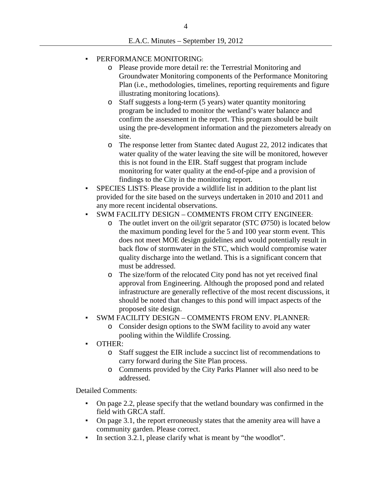### PERFORMANCE MONITORING:

- o Please provide more detail re: the Terrestrial Monitoring and Groundwater Monitoring components of the Performance Monitoring Plan (i.e., methodologies, timelines, reporting requirements and figure illustrating monitoring locations).
- o Staff suggests a long-term (5 years) water quantity monitoring program be included to monitor the wetland's water balance and confirm the assessment in the report. This program should be built using the pre-development information and the piezometers already on site.
- o The response letter from Stantec dated August 22, 2012 indicates that water quality of the water leaving the site will be monitored, however this is not found in the EIR. Staff suggest that program include monitoring for water quality at the end-of-pipe and a provision of findings to the City in the monitoring report.
- SPECIES LISTS: Please provide a wildlife list in addition to the plant list provided for the site based on the surveys undertaken in 2010 and 2011 and any more recent incidental observations.
- SWM FACILITY DESIGN COMMENTS FROM CITY ENGINEER:
	- $\circ$  The outlet invert on the oil/grit separator (STC  $\emptyset$ 750) is located below the maximum ponding level for the 5 and 100 year storm event. This does not meet MOE design guidelines and would potentially result in back flow of stormwater in the STC, which would compromise water quality discharge into the wetland. This is a significant concern that must be addressed.
	- o The size/form of the relocated City pond has not yet received final approval from Engineering. Although the proposed pond and related infrastructure are generally reflective of the most recent discussions, it should be noted that changes to this pond will impact aspects of the proposed site design.
- SWM FACILITY DESIGN COMMENTS FROM ENV. PLANNER:
	- o Consider design options to the SWM facility to avoid any water pooling within the Wildlife Crossing.
- OTHER:
	- o Staff suggest the EIR include a succinct list of recommendations to carry forward during the Site Plan process.
	- o Comments provided by the City Parks Planner will also need to be addressed.

Detailed Comments:

- On page 2.2, please specify that the wetland boundary was confirmed in the field with GRCA staff.
- On page 3.1, the report erroneously states that the amenity area will have a community garden. Please correct.
- In section 3.2.1, please clarify what is meant by "the woodlot".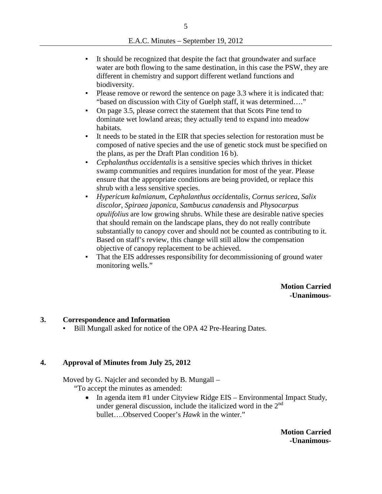- It should be recognized that despite the fact that groundwater and surface water are both flowing to the same destination, in this case the PSW, they are different in chemistry and support different wetland functions and biodiversity.
- Please remove or reword the sentence on page 3.3 where it is indicated that: "based on discussion with City of Guelph staff, it was determined…."
- On page 3.5, please correct the statement that that Scots Pine tend to dominate wet lowland areas; they actually tend to expand into meadow habitats.
- It needs to be stated in the EIR that species selection for restoration must be composed of native species and the use of genetic stock must be specified on the plans, as per the Draft Plan condition 16 b).
- *Cephalanthus occidentalis* is a sensitive species which thrives in thicket swamp communities and requires inundation for most of the year. Please ensure that the appropriate conditions are being provided, or replace this shrub with a less sensitive species.
- *Hypericum kalmianum*, *Cephalanthus occidentalis*, *Cornus sericea*, *Salix discolor*, *Spiraea japonica*, *Sambucus canadensis* and *Physocarpus opulifolius* are low growing shrubs. While these are desirable native species that should remain on the landscape plans, they do not really contribute substantially to canopy cover and should not be counted as contributing to it. Based on staff's review, this change will still allow the compensation objective of canopy replacement to be achieved.
- That the EIS addresses responsibility for decommissioning of ground water monitoring wells."

**Motion Carried -Unanimous-**

#### **3. Correspondence and Information**

Bill Mungall asked for notice of the OPA 42 Pre-Hearing Dates.

### **4. Approval of Minutes from July 25, 2012**

Moved by G. Najcler and seconded by B. Mungall –

- "To accept the minutes as amended:
	- In agenda item #1 under Cityview Ridge EIS Environmental Impact Study, under general discussion, include the italicized word in the  $2<sup>nd</sup>$ bullet….Observed Cooper's *Hawk* in the winter."

**Motion Carried -Unanimous-**